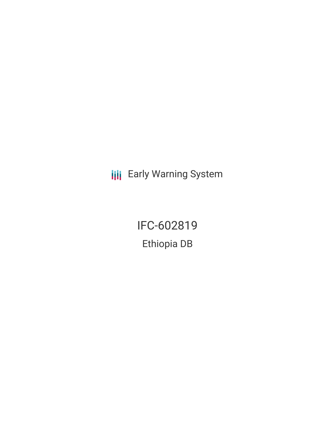**III** Early Warning System

IFC-602819 Ethiopia DB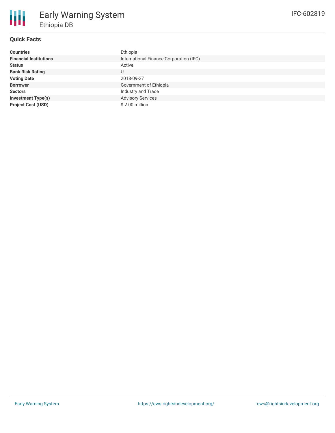

## **Quick Facts**

| <b>Countries</b>              | Ethiopia                                |
|-------------------------------|-----------------------------------------|
| <b>Financial Institutions</b> | International Finance Corporation (IFC) |
| <b>Status</b>                 | Active                                  |
| <b>Bank Risk Rating</b>       | U                                       |
| <b>Voting Date</b>            | 2018-09-27                              |
| <b>Borrower</b>               | Government of Ethiopia                  |
| <b>Sectors</b>                | Industry and Trade                      |
| <b>Investment Type(s)</b>     | <b>Advisory Services</b>                |
| <b>Project Cost (USD)</b>     | \$2.00 million                          |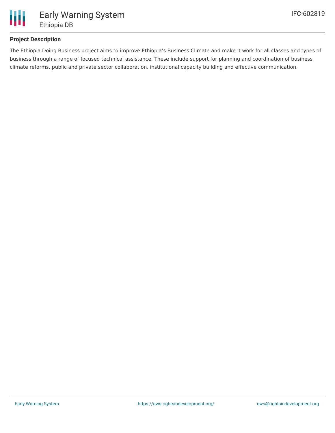

## **Project Description**

The Ethiopia Doing Business project aims to improve Ethiopia's Business Climate and make it work for all classes and types of business through a range of focused technical assistance. These include support for planning and coordination of business climate reforms, public and private sector collaboration, institutional capacity building and effective communication.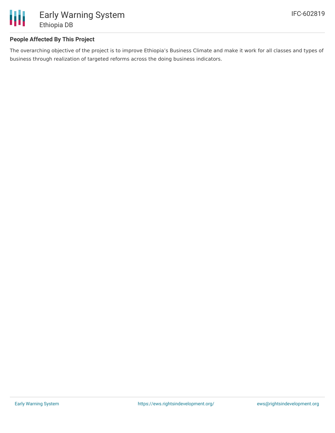

## **People Affected By This Project**

The overarching objective of the project is to improve Ethiopia's Business Climate and make it work for all classes and types of business through realization of targeted reforms across the doing business indicators.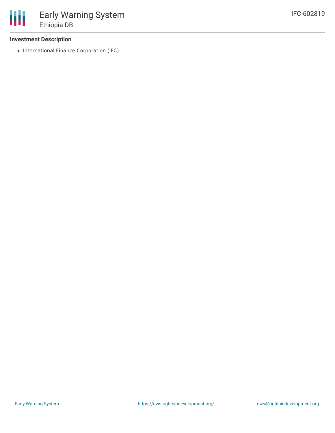### **Investment Description**

• International Finance Corporation (IFC)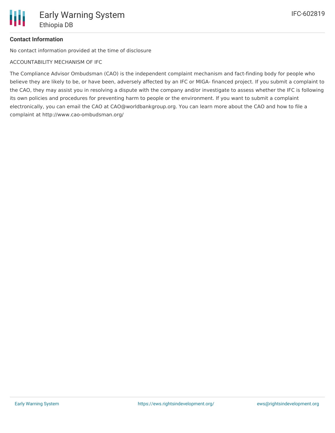# **Contact Information**

No contact information provided at the time of disclosure

ACCOUNTABILITY MECHANISM OF IFC

The Compliance Advisor Ombudsman (CAO) is the independent complaint mechanism and fact-finding body for people who believe they are likely to be, or have been, adversely affected by an IFC or MIGA- financed project. If you submit a complaint to the CAO, they may assist you in resolving a dispute with the company and/or investigate to assess whether the IFC is following its own policies and procedures for preventing harm to people or the environment. If you want to submit a complaint electronically, you can email the CAO at CAO@worldbankgroup.org. You can learn more about the CAO and how to file a complaint at http://www.cao-ombudsman.org/